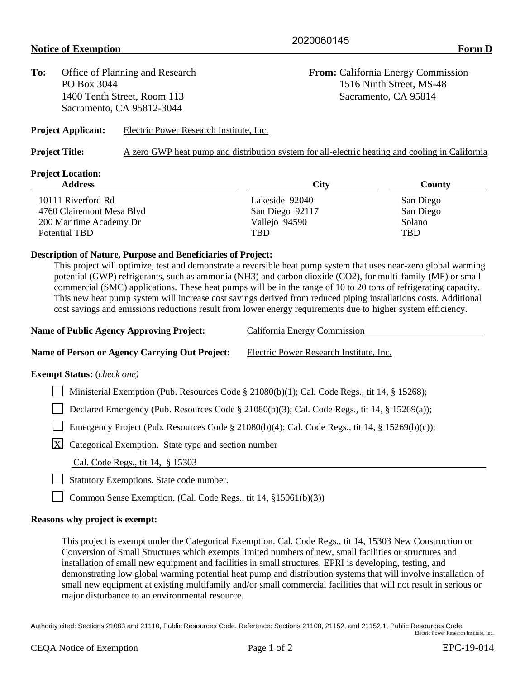**To:** Office of Planning and Research **From:** California Energy Commission 1400 Tenth Street, Room 113 Sacramento, CA 95814 Sacramento, CA 95812-3044

PO Box 3044 1516 Ninth Street, MS-48

**Project Applicant:** Electric Power Research Institute, Inc.

| <b>Project Title:</b> |  | A zero GWP heat pump and distribution system for all-electric heating and cooling in California |  |
|-----------------------|--|-------------------------------------------------------------------------------------------------|--|
|                       |  |                                                                                                 |  |

## **Project Location:**

| <b>City</b>     | County        |  |
|-----------------|---------------|--|
| Lakeside 92040  | San Diego     |  |
| San Diego 92117 | San Diego     |  |
| Vallejo 94590   | <b>Solano</b> |  |
| <b>TRD</b>      | <b>TBD</b>    |  |
|                 |               |  |

## **Description of Nature, Purpose and Beneficiaries of Project:**

This project will optimize, test and demonstrate a reversible heat pump system that uses near-zero global warming potential (GWP) refrigerants, such as ammonia (NH3) and carbon dioxide (CO2), for multi-family (MF) or small commercial (SMC) applications. These heat pumps will be in the range of 10 to 20 tons of refrigerating capacity. This new heat pump system will increase cost savings derived from reduced piping installations costs. Additional cost savings and emissions reductions result from lower energy requirements due to higher system efficiency.

| <b>Name of Public Agency Approving Project:</b> | California Energy Commission |
|-------------------------------------------------|------------------------------|
|                                                 |                              |

**Name of Person or Agency Carrying Out Project:** Electric Power Research Institute, Inc.

## **Exempt Status:** (*check one)*

Ministerial Exemption (Pub. Resources Code  $\S 21080(b)(1)$ ; Cal. Code Regs., tit 14,  $\S 15268$ );

Declared Emergency (Pub. Resources Code § 21080(b)(3); Cal. Code Regs., tit 14, § 15269(a));

Emergency Project (Pub. Resources Code § 21080(b)(4); Cal. Code Regs., tit 14, § 15269(b)(c));

 $\boxed{\text{X}}$  Categorical Exemption. State type and section number

Cal. Code Regs., tit 14, § 15303

Statutory Exemptions. State code number.

Common Sense Exemption. (Cal. Code Regs., tit 14,  $\S 15061(b)(3)$ )

## **Reasons why project is exempt:**

This project is exempt under the Categorical Exemption. Cal. Code Regs., tit 14, 15303 New Construction or Conversion of Small Structures which exempts limited numbers of new, small facilities or structures and installation of small new equipment and facilities in small structures. EPRI is developing, testing, and demonstrating low global warming potential heat pump and distribution systems that will involve installation of small new equipment at existing multifamily and/or small commercial facilities that will not result in serious or major disturbance to an environmental resource.

Authority cited: Sections 21083 and 21110, Public Resources Code. Reference: Sections 21108, 21152, and 21152.1, Public Resources Code. Electric Power Research Institute, Inc.